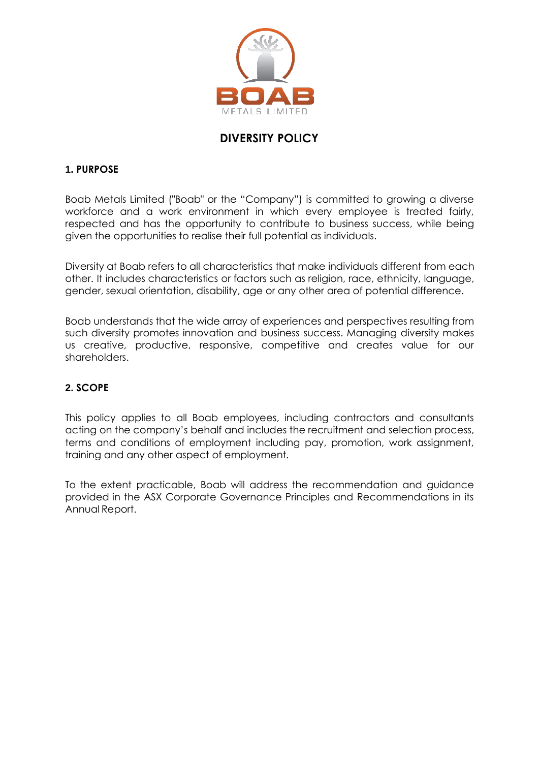

# **DIVERSITY POLICY**

### **1. PURPOSE**

Boab Metals Limited ("Boab" or the "Company") is committed to growing a diverse workforce and a work environment in which every employee is treated fairly, respected and has the opportunity to contribute to business success, while being given the opportunities to realise their full potential as individuals.

Diversity at Boab refers to all characteristics that make individuals different from each other. It includes characteristics or factors such as religion, race, ethnicity, language, gender, sexual orientation, disability, age or any other area of potential difference.

Boab understands that the wide array of experiences and perspectives resulting from such diversity promotes innovation and business success. Managing diversity makes us creative, productive, responsive, competitive and creates value for our shareholders.

### **2. SCOPE**

This policy applies to all Boab employees, including contractors and consultants acting on the company's behalf and includes the recruitment and selection process, terms and conditions of employment including pay, promotion, work assignment, training and any other aspect of employment.

To the extent practicable, Boab will address the recommendation and guidance provided in the ASX Corporate Governance Principles and Recommendations in its Annual Report.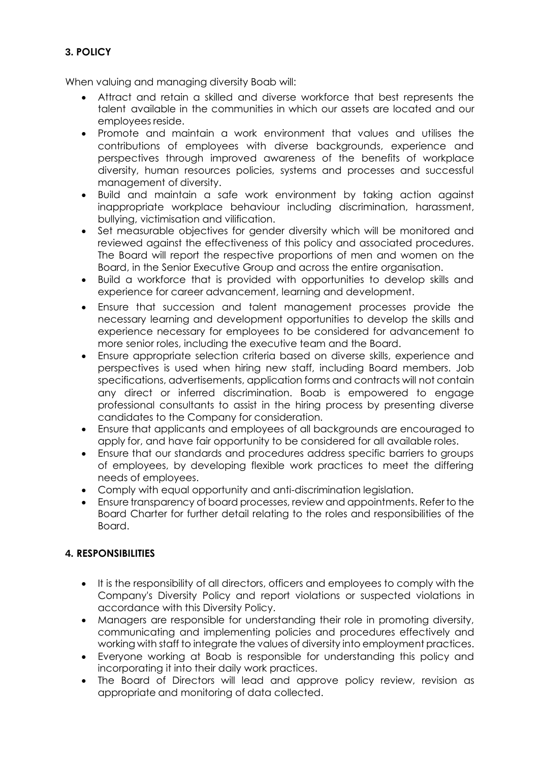## **3. POLICY**

When valuing and managing diversity Boab will:

- Attract and retain a skilled and diverse workforce that best represents the talent available in the communities in which our assets are located and our employees reside.
- Promote and maintain a work environment that values and utilises the contributions of employees with diverse backgrounds, experience and perspectives through improved awareness of the benefits of workplace diversity, human resources policies, systems and processes and successful management of diversity.
- Build and maintain a safe work environment by taking action against inappropriate workplace behaviour including discrimination, harassment, bullying, victimisation and vilification.
- Set measurable objectives for gender diversity which will be monitored and reviewed against the effectiveness of this policy and associated procedures. The Board will report the respective proportions of men and women on the Board, in the Senior Executive Group and across the entire organisation.
- Build a workforce that is provided with opportunities to develop skills and experience for career advancement, learning and development.
- Ensure that succession and talent management processes provide the necessary learning and development opportunities to develop the skills and experience necessary for employees to be considered for advancement to more senior roles, including the executive team and the Board.
- Ensure appropriate selection criteria based on diverse skills, experience and perspectives is used when hiring new staff, including Board members. Job specifications, advertisements, application forms and contracts will not contain any direct or inferred discrimination. Boab is empowered to engage professional consultants to assist in the hiring process by presenting diverse candidates to the Company for consideration.
- Ensure that applicants and employees of all backgrounds are encouraged to apply for, and have fair opportunity to be considered for all available roles.
- Ensure that our standards and procedures address specific barriers to groups of employees, by developing flexible work practices to meet the differing needs of employees.
- Comply with equal opportunity and anti-discrimination legislation.
- Ensure transparency of board processes, review and appointments. Refer to the Board Charter for further detail relating to the roles and responsibilities of the Board.

### **4. RESPONSIBILITIES**

- It is the responsibility of all directors, officers and employees to comply with the Company's Diversity Policy and report violations or suspected violations in accordance with this Diversity Policy.
- Managers are responsible for understanding their role in promoting diversity, communicating and implementing policies and procedures effectively and working with staff to integrate the values of diversity into employment practices.
- Everyone working at Boab is responsible for understanding this policy and incorporating it into their daily work practices.
- The Board of Directors will lead and approve policy review, revision as appropriate and monitoring of data collected.